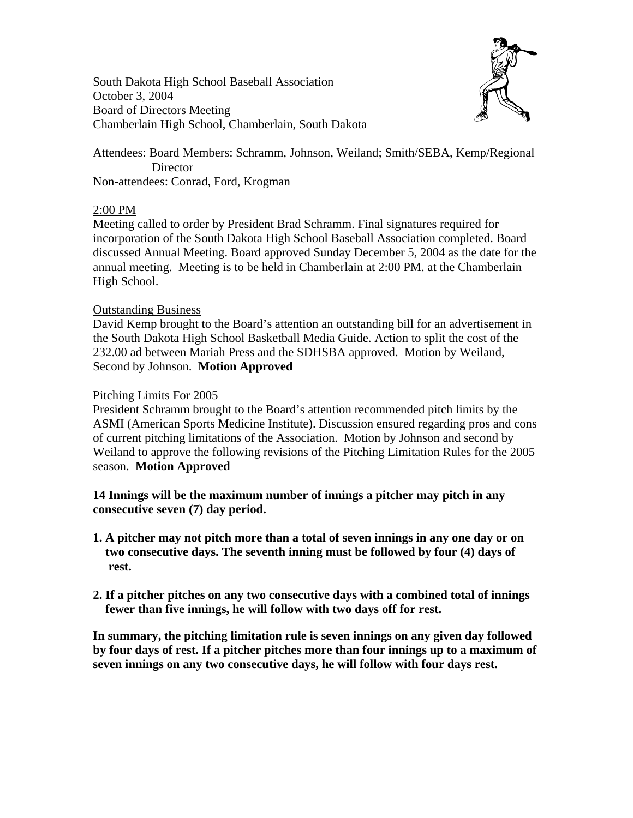South Dakota High School Baseball Association October 3, 2004 Board of Directors Meeting Chamberlain High School, Chamberlain, South Dakota



Attendees: Board Members: Schramm, Johnson, Weiland; Smith/SEBA, Kemp/Regional **Director** Non-attendees: Conrad, Ford, Krogman

## 2:00 PM

Meeting called to order by President Brad Schramm. Final signatures required for incorporation of the South Dakota High School Baseball Association completed. Board discussed Annual Meeting. Board approved Sunday December 5, 2004 as the date for the annual meeting. Meeting is to be held in Chamberlain at 2:00 PM. at the Chamberlain High School.

# Outstanding Business

David Kemp brought to the Board's attention an outstanding bill for an advertisement in the South Dakota High School Basketball Media Guide. Action to split the cost of the 232.00 ad between Mariah Press and the SDHSBA approved. Motion by Weiland, Second by Johnson. **Motion Approved** 

# Pitching Limits For 2005

President Schramm brought to the Board's attention recommended pitch limits by the ASMI (American Sports Medicine Institute). Discussion ensured regarding pros and cons of current pitching limitations of the Association. Motion by Johnson and second by Weiland to approve the following revisions of the Pitching Limitation Rules for the 2005 season. **Motion Approved**

**14 Innings will be the maximum number of innings a pitcher may pitch in any consecutive seven (7) day period.** 

- **1. A pitcher may not pitch more than a total of seven innings in any one day or on two consecutive days. The seventh inning must be followed by four (4) days of rest.**
- **2. If a pitcher pitches on any two consecutive days with a combined total of innings fewer than five innings, he will follow with two days off for rest.**

**In summary, the pitching limitation rule is seven innings on any given day followed by four days of rest. If a pitcher pitches more than four innings up to a maximum of seven innings on any two consecutive days, he will follow with four days rest.**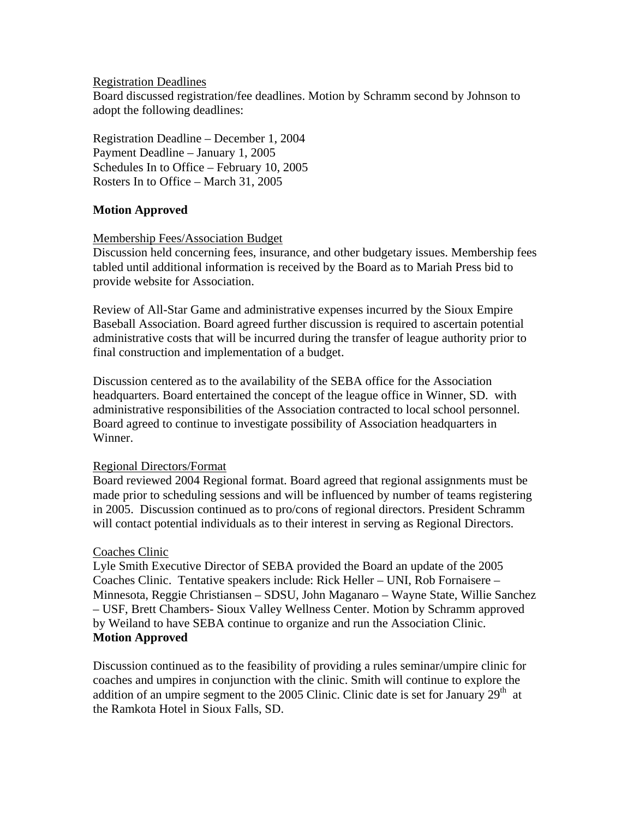#### Registration Deadlines

Board discussed registration/fee deadlines. Motion by Schramm second by Johnson to adopt the following deadlines:

Registration Deadline – December 1, 2004 Payment Deadline – January 1, 2005 Schedules In to Office – February 10, 2005 Rosters In to Office – March 31, 2005

## **Motion Approved**

## Membership Fees/Association Budget

Discussion held concerning fees, insurance, and other budgetary issues. Membership fees tabled until additional information is received by the Board as to Mariah Press bid to provide website for Association.

Review of All-Star Game and administrative expenses incurred by the Sioux Empire Baseball Association. Board agreed further discussion is required to ascertain potential administrative costs that will be incurred during the transfer of league authority prior to final construction and implementation of a budget.

Discussion centered as to the availability of the SEBA office for the Association headquarters. Board entertained the concept of the league office in Winner, SD. with administrative responsibilities of the Association contracted to local school personnel. Board agreed to continue to investigate possibility of Association headquarters in Winner.

## Regional Directors/Format

Board reviewed 2004 Regional format. Board agreed that regional assignments must be made prior to scheduling sessions and will be influenced by number of teams registering in 2005. Discussion continued as to pro/cons of regional directors. President Schramm will contact potential individuals as to their interest in serving as Regional Directors.

## Coaches Clinic

Lyle Smith Executive Director of SEBA provided the Board an update of the 2005 Coaches Clinic. Tentative speakers include: Rick Heller – UNI, Rob Fornaisere – Minnesota, Reggie Christiansen – SDSU, John Maganaro – Wayne State, Willie Sanchez – USF, Brett Chambers- Sioux Valley Wellness Center. Motion by Schramm approved by Weiland to have SEBA continue to organize and run the Association Clinic. **Motion Approved** 

Discussion continued as to the feasibility of providing a rules seminar/umpire clinic for coaches and umpires in conjunction with the clinic. Smith will continue to explore the addition of an umpire segment to the 2005 Clinic. Clinic date is set for January  $29<sup>th</sup>$  at the Ramkota Hotel in Sioux Falls, SD.